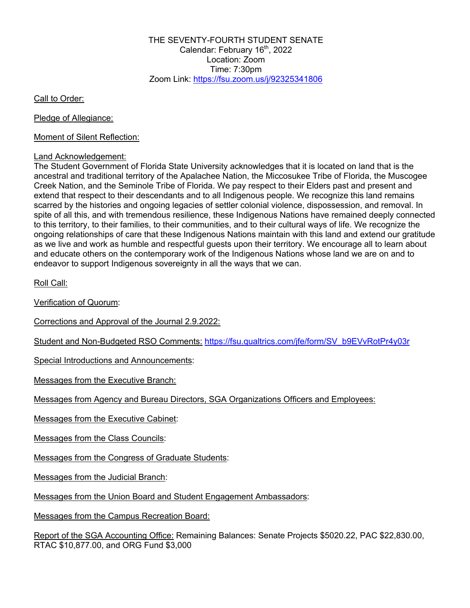THE SEVENTY-FOURTH STUDENT SENATE Calendar: February 16<sup>th</sup>, 2022 Location: Zoom Time:  $7:30$ pm Zoom Link: https://fsu.zoom.us/j/92325341806

Call to Order:

Pledge of Allegiance:

Moment of Silent Reflection:

#### Land Acknowledgement:

The Student Government of Florida State University acknowledges that it is located on land that is the ancestral and traditional territory of the Apalachee Nation, the Miccosukee Tribe of Florida, the Muscogee Creek Nation, and the Seminole Tribe of Florida. We pay respect to their Elders past and present and extend that respect to their descendants and to all Indigenous people. We recognize this land remains scarred by the histories and ongoing legacies of settler colonial violence, dispossession, and removal. In spite of all this, and with tremendous resilience, these Indigenous Nations have remained deeply connected to this territory, to their families, to their communities, and to their cultural ways of life. We recognize the ongoing relationships of care that these Indigenous Nations maintain with this land and extend our gratitude as we live and work as humble and respectful guests upon their territory. We encourage all to learn about and educate others on the contemporary work of the Indigenous Nations whose land we are on and to endeavor to support Indigenous sovereignty in all the ways that we can.

Roll Call:

Verification of Quorum:

Corrections and Approval of the Journal 2.9.2022:

Student and Non-Budgeted RSO Comments: https://fsu.qualtrics.com/jfe/form/SV\_b9EVvRotPr4y03r

Special Introductions and Announcements:

Messages from the Executive Branch:

Messages from Agency and Bureau Directors, SGA Organizations Officers and Employees:

Messages from the Executive Cabinet:

Messages from the Class Councils:

Messages from the Congress of Graduate Students:

Messages from the Judicial Branch:

Messages from the Union Board and Student Engagement Ambassadors:

Messages from the Campus Recreation Board:

Report of the SGA Accounting Office: Remaining Balances: Senate Projects \$5020.22, PAC \$22,830.00, RTAC \$10,877.00, and ORG Fund \$3,000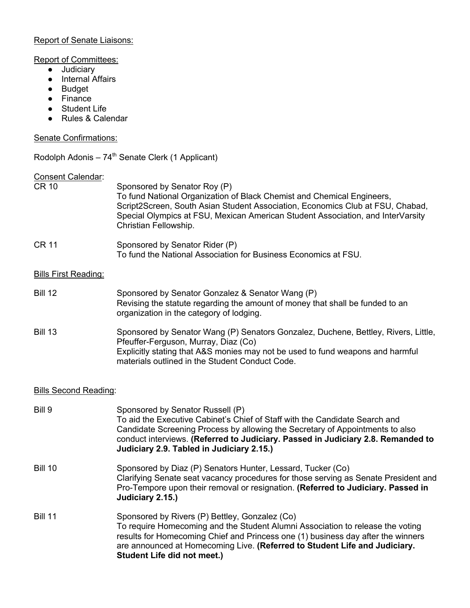### Report of Senate Liaisons:

#### Report of Committees:

- Judiciary
- Internal Affairs
- Budget
- Finance
- Student Life
- Rules & Calendar

### Senate Confirmations:

Rodolph Adonis –  $74<sup>th</sup>$  Senate Clerk (1 Applicant)

#### Consent Calendar:

| <b>CR 10</b>                | Sponsored by Senator Roy (P)<br>To fund National Organization of Black Chemist and Chemical Engineers,<br>Script2Screen, South Asian Student Association, Economics Club at FSU, Chabad,<br>Special Olympics at FSU, Mexican American Student Association, and InterVarsity<br>Christian Fellowship. |
|-----------------------------|------------------------------------------------------------------------------------------------------------------------------------------------------------------------------------------------------------------------------------------------------------------------------------------------------|
| <b>CR 11</b>                | Sponsored by Senator Rider (P)<br>To fund the National Association for Business Economics at FSU.                                                                                                                                                                                                    |
| <b>Bills First Reading:</b> |                                                                                                                                                                                                                                                                                                      |
| <b>Bill 12</b>              | Sponsored by Senator Gonzalez & Senator Wang (P)<br>Revising the statute regarding the amount of money that shall be funded to an<br>organization in the category of lodging.                                                                                                                        |
| <b>Bill 13</b>              | Sponsored by Senator Wang (P) Senators Gonzalez, Duchene, Bettley, Rivers, Little,<br>Pfeuffer-Ferguson, Murray, Diaz (Co)<br>Explicitly stating that A&S monies may not be used to fund weapons and harmful<br>materials outlined in the Student Conduct Code.                                      |

# Bills Second Reading:

| Bill 9         | Sponsored by Senator Russell (P)<br>To aid the Executive Cabinet's Chief of Staff with the Candidate Search and<br>Candidate Screening Process by allowing the Secretary of Appointments to also<br>conduct interviews. (Referred to Judiciary. Passed in Judiciary 2.8. Remanded to<br>Judiciary 2.9. Tabled in Judiciary 2.15.)        |
|----------------|------------------------------------------------------------------------------------------------------------------------------------------------------------------------------------------------------------------------------------------------------------------------------------------------------------------------------------------|
| <b>Bill 10</b> | Sponsored by Diaz (P) Senators Hunter, Lessard, Tucker (Co)<br>Clarifying Senate seat vacancy procedures for those serving as Senate President and<br>Pro-Tempore upon their removal or resignation. (Referred to Judiciary. Passed in<br>Judiciary 2.15.)                                                                               |
| <b>Bill 11</b> | Sponsored by Rivers (P) Bettley, Gonzalez (Co)<br>To require Homecoming and the Student Alumni Association to release the voting<br>results for Homecoming Chief and Princess one (1) business day after the winners<br>are announced at Homecoming Live. (Referred to Student Life and Judiciary.<br><b>Student Life did not meet.)</b> |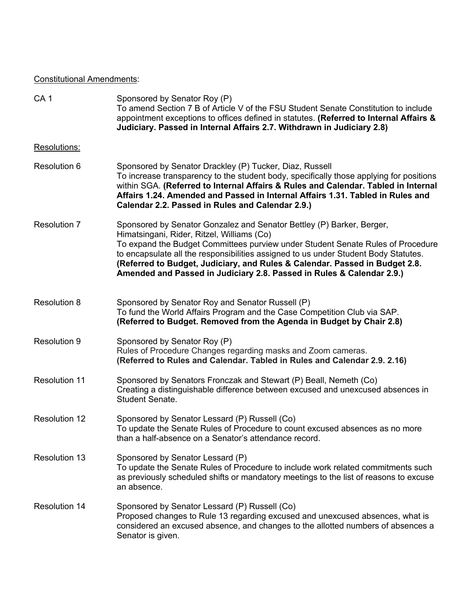# Constitutional Amendments:

| CA <sub>1</sub>      | Sponsored by Senator Roy (P)<br>To amend Section 7 B of Article V of the FSU Student Senate Constitution to include<br>appointment exceptions to offices defined in statutes. (Referred to Internal Affairs &<br>Judiciary. Passed in Internal Affairs 2.7. Withdrawn in Judiciary 2.8)                                                                                                                                                               |
|----------------------|-------------------------------------------------------------------------------------------------------------------------------------------------------------------------------------------------------------------------------------------------------------------------------------------------------------------------------------------------------------------------------------------------------------------------------------------------------|
| Resolutions:         |                                                                                                                                                                                                                                                                                                                                                                                                                                                       |
| <b>Resolution 6</b>  | Sponsored by Senator Drackley (P) Tucker, Diaz, Russell<br>To increase transparency to the student body, specifically those applying for positions<br>within SGA. (Referred to Internal Affairs & Rules and Calendar. Tabled in Internal<br>Affairs 1.24. Amended and Passed in Internal Affairs 1.31. Tabled in Rules and<br>Calendar 2.2. Passed in Rules and Calendar 2.9.)                                                                        |
| <b>Resolution 7</b>  | Sponsored by Senator Gonzalez and Senator Bettley (P) Barker, Berger,<br>Himatsingani, Rider, Ritzel, Williams (Co)<br>To expand the Budget Committees purview under Student Senate Rules of Procedure<br>to encapsulate all the responsibilities assigned to us under Student Body Statutes.<br>(Referred to Budget, Judiciary, and Rules & Calendar. Passed in Budget 2.8.<br>Amended and Passed in Judiciary 2.8. Passed in Rules & Calendar 2.9.) |
| Resolution 8         | Sponsored by Senator Roy and Senator Russell (P)<br>To fund the World Affairs Program and the Case Competition Club via SAP.<br>(Referred to Budget. Removed from the Agenda in Budget by Chair 2.8)                                                                                                                                                                                                                                                  |
| <b>Resolution 9</b>  | Sponsored by Senator Roy (P)<br>Rules of Procedure Changes regarding masks and Zoom cameras.<br>(Referred to Rules and Calendar. Tabled in Rules and Calendar 2.9. 2.16)                                                                                                                                                                                                                                                                              |
| <b>Resolution 11</b> | Sponsored by Senators Fronczak and Stewart (P) Beall, Nemeth (Co)<br>Creating a distinguishable difference between excused and unexcused absences in<br>Student Senate.                                                                                                                                                                                                                                                                               |
| <b>Resolution 12</b> | Sponsored by Senator Lessard (P) Russell (Co)<br>To update the Senate Rules of Procedure to count excused absences as no more<br>than a half-absence on a Senator's attendance record.                                                                                                                                                                                                                                                                |
| <b>Resolution 13</b> | Sponsored by Senator Lessard (P)<br>To update the Senate Rules of Procedure to include work related commitments such<br>as previously scheduled shifts or mandatory meetings to the list of reasons to excuse<br>an absence.                                                                                                                                                                                                                          |
| <b>Resolution 14</b> | Sponsored by Senator Lessard (P) Russell (Co)<br>Proposed changes to Rule 13 regarding excused and unexcused absences, what is<br>considered an excused absence, and changes to the allotted numbers of absences a<br>Senator is given.                                                                                                                                                                                                               |